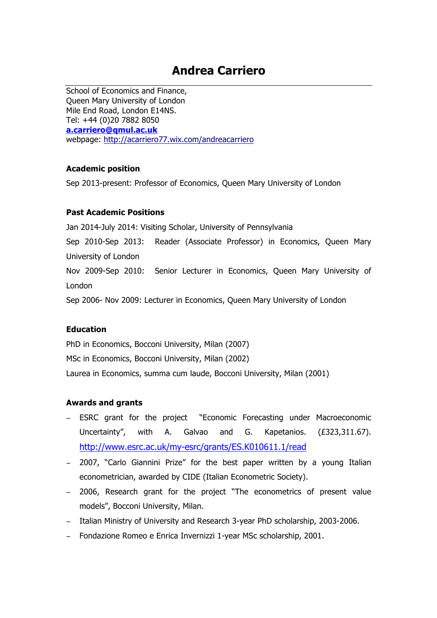# **Andrea Carriero**

School of Economics and Finance, Queen Mary University of London Mile End Road, London E14NS. Tel: +44 (0)20 7882 8050 **a.carriero@qmul.ac.uk** webpage: http://acarriero77.wix.com/andreacarriero

#### **Academic position**

Sep 2013-present: Professor of Economics, Queen Mary University of London

#### **Past Academic Positions**

Jan 2014-July 2014: Visiting Scholar, University of Pennsylvania Sep 2010-Sep 2013: Reader (Associate Professor) in Economics, Queen Mary University of London Nov 2009-Sep 2010: Senior Lecturer in Economics, Queen Mary University of London Sep 2006- Nov 2009: Lecturer in Economics, Queen Mary University of London

#### **Education**

PhD in Economics, Bocconi University, Milan (2007) MSc in Economics, Bocconi University, Milan (2002) Laurea in Economics, summa cum laude, Bocconi University, Milan (2001)

#### **Awards and grants**

- − ESRC grant for the project "Economic Forecasting under Macroeconomic Uncertainty", with A. Galvao and G. Kapetanios. (£323,311.67). http://www.esrc.ac.uk/my-esrc/grants/ES.K010611.1/read
- − 2007, "Carlo Giannini Prize" for the best paper written by a young Italian econometrician, awarded by CIDE (Italian Econometric Society).
- − 2006, Research grant for the project "The econometrics of present value models", Bocconi University, Milan.
- − Italian Ministry of University and Research 3-year PhD scholarship, 2003-2006.
- − Fondazione Romeo e Enrica Invernizzi 1-year MSc scholarship, 2001.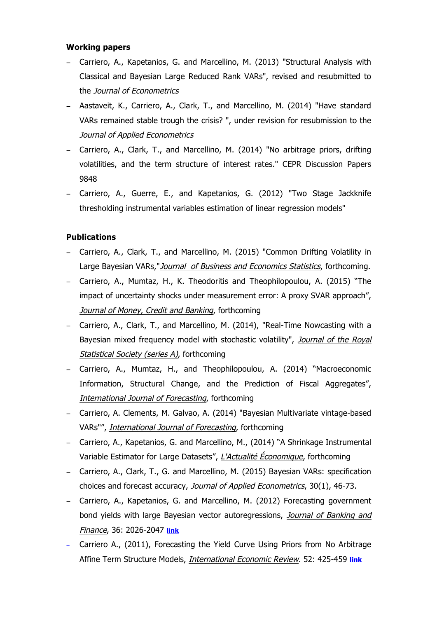## **Working papers**

- − Carriero, A., Kapetanios, G. and Marcellino, M. (2013) "Structural Analysis with Classical and Bayesian Large Reduced Rank VARs", revised and resubmitted to the Journal of Econometrics
- − Aastaveit, K., Carriero, A., Clark, T., and Marcellino, M. (2014) "Have standard VARs remained stable trough the crisis? ", under revision for resubmission to the Journal of Applied Econometrics
- − Carriero, A., Clark, T., and Marcellino, M. (2014) "No arbitrage priors, drifting volatilities, and the term structure of interest rates." CEPR Discussion Papers 9848
- − Carriero, A., Guerre, E., and Kapetanios, G. (2012) "Two Stage Jackknife thresholding instrumental variables estimation of linear regression models"

# **Publications**

- − Carriero, A., Clark, T., and Marcellino, M. (2015) "Common Drifting Volatility in Large Bayesian VARs,"Journal of Business and Economics Statistics, forthcoming.
- − Carriero, A., Mumtaz, H., K. Theodoritis and Theophilopoulou, A. (2015) "The impact of uncertainty shocks under measurement error: A proxy SVAR approach", Journal of Money, Credit and Banking, forthcoming
- − Carriero, A., Clark, T., and Marcellino, M. (2014), "Real-Time Nowcasting with a Bayesian mixed frequency model with stochastic volatility", Journal of the Royal Statistical Society (series A), forthcoming
- − Carriero, A., Mumtaz, H., and Theophilopoulou, A. (2014) "Macroeconomic Information, Structural Change, and the Prediction of Fiscal Aggregates", International Journal of Forecasting, forthcoming
- − Carriero, A. Clements, M. Galvao, A. (2014) "Bayesian Multivariate vintage-based VARs"", International Journal of Forecasting, forthcoming
- − Carriero, A., Kapetanios, G. and Marcellino, M., (2014) "A Shrinkage Instrumental Variable Estimator for Large Datasets", L'Actualité Économique, forthcoming
- − Carriero, A., Clark, T., G. and Marcellino, M. (2015) Bayesian VARs: specification choices and forecast accuracy, Journal of Applied Econometrics, 30(1), 46-73.
- − Carriero, A., Kapetanios, G. and Marcellino, M. (2012) Forecasting government bond yields with large Bayesian vector autoregressions, Journal of Banking and Finance, 36: 2026-2047 **link**
- − Carriero A., (2011), Forecasting the Yield Curve Using Priors from No Arbitrage Affine Term Structure Models, International Economic Review. 52: 425-459 **link**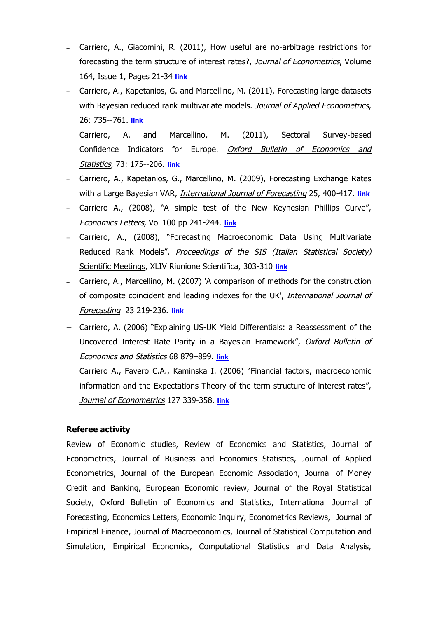- − Carriero, A., Giacomini, R. (2011), How useful are no-arbitrage restrictions for forecasting the term structure of interest rates?, Journal of Econometrics, Volume 164, Issue 1, Pages 21-34 **link**
- − Carriero, A., Kapetanios, G. and Marcellino, M. (2011), Forecasting large datasets with Bayesian reduced rank multivariate models. Journal of Applied Econometrics, 26: 735--761. **link**
- − Carriero, A. and Marcellino, M. (2011), Sectoral Survey-based Confidence Indicators for Europe. Oxford Bulletin of Economics and Statistics, 73: 175--206. **link**
- − Carriero, A., Kapetanios, G., Marcellino, M. (2009), Forecasting Exchange Rates with a Large Bayesian VAR, International Journal of Forecasting 25, 400-417. **link**
- − Carriero A., (2008), "A simple test of the New Keynesian Phillips Curve", Economics Letters, Vol 100 pp 241-244. **link**
- − Carriero, A., (2008), "Forecasting Macroeconomic Data Using Multivariate Reduced Rank Models", Proceedings of the SIS (Italian Statistical Society) Scientific Meetings, XLIV Riunione Scientifica, 303-310 **link**
- − Carriero, A., Marcellino, M. (2007) 'A comparison of methods for the construction of composite coincident and leading indexes for the UK', International Journal of Forecasting 23 219-236. **link**
- − Carriero, A. (2006) "Explaining US-UK Yield Differentials: a Reassessment of the Uncovered Interest Rate Parity in a Bayesian Framework", Oxford Bulletin of Economics and Statistics 68 879–899. **link**
- − Carriero A., Favero C.A., Kaminska I. (2006) "Financial factors, macroeconomic information and the Expectations Theory of the term structure of interest rates", Journal of Econometrics 127 339-358. **link**

# **Referee activity**

Review of Economic studies, Review of Economics and Statistics, Journal of Econometrics, Journal of Business and Economics Statistics, Journal of Applied Econometrics, Journal of the European Economic Association, Journal of Money Credit and Banking, European Economic review, Journal of the Royal Statistical Society, Oxford Bulletin of Economics and Statistics, International Journal of Forecasting, Economics Letters, Economic Inquiry, Econometrics Reviews, Journal of Empirical Finance, Journal of Macroeconomics, Journal of Statistical Computation and Simulation, Empirical Economics, Computational Statistics and Data Analysis,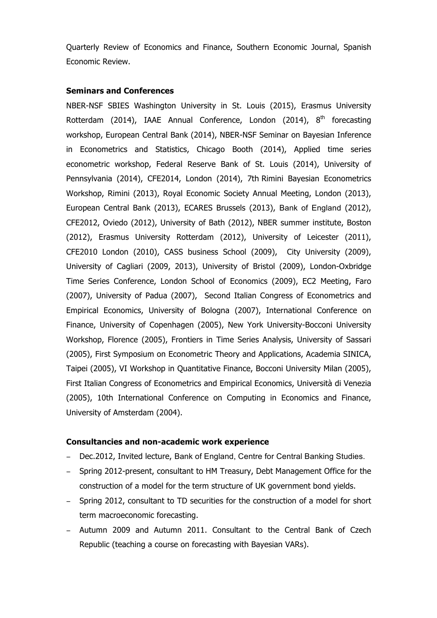Quarterly Review of Economics and Finance, Southern Economic Journal, Spanish Economic Review.

## **Seminars and Conferences**

NBER-NSF SBIES Washington University in St. Louis (2015), Erasmus University Rotterdam (2014), IAAE Annual Conference, London (2014), 8<sup>th</sup> forecasting workshop, European Central Bank (2014), NBER-NSF Seminar on Bayesian Inference in Econometrics and Statistics, Chicago Booth (2014), Applied time series econometric workshop, Federal Reserve Bank of St. Louis (2014), University of Pennsylvania (2014), CFE2014, London (2014), 7th Rimini Bayesian Econometrics Workshop, Rimini (2013), Royal Economic Society Annual Meeting, London (2013), European Central Bank (2013), ECARES Brussels (2013), Bank of England (2012), CFE2012, Oviedo (2012), University of Bath (2012), NBER summer institute, Boston (2012), Erasmus University Rotterdam (2012), University of Leicester (2011), CFE2010 London (2010), CASS business School (2009), City University (2009), University of Cagliari (2009, 2013), University of Bristol (2009), London-Oxbridge Time Series Conference, London School of Economics (2009), EC2 Meeting, Faro (2007), University of Padua (2007), Second Italian Congress of Econometrics and Empirical Economics, University of Bologna (2007), International Conference on Finance, University of Copenhagen (2005), New York University-Bocconi University Workshop, Florence (2005), Frontiers in Time Series Analysis, University of Sassari (2005), First Symposium on Econometric Theory and Applications, Academia SINICA, Taipei (2005), VI Workshop in Quantitative Finance, Bocconi University Milan (2005), First Italian Congress of Econometrics and Empirical Economics, Università di Venezia (2005), 10th International Conference on Computing in Economics and Finance, University of Amsterdam (2004).

#### **Consultancies and non-academic work experience**

- − Dec.2012, Invited lecture, Bank of England, Centre for Central Banking Studies.
- − Spring 2012-present, consultant to HM Treasury, Debt Management Office for the construction of a model for the term structure of UK government bond yields.
- − Spring 2012, consultant to TD securities for the construction of a model for short term macroeconomic forecasting.
- − Autumn 2009 and Autumn 2011. Consultant to the Central Bank of Czech Republic (teaching a course on forecasting with Bayesian VARs).